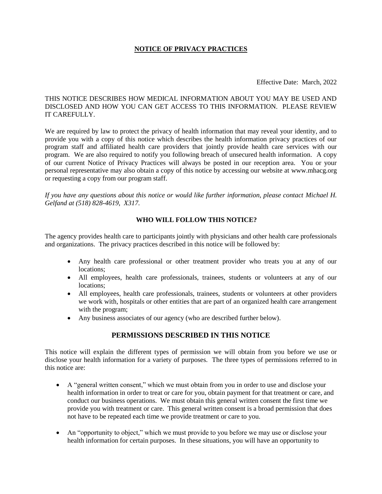#### **NOTICE OF PRIVACY PRACTICES**

#### Effective Date: March, 2022

#### THIS NOTICE DESCRIBES HOW MEDICAL INFORMATION ABOUT YOU MAY BE USED AND DISCLOSED AND HOW YOU CAN GET ACCESS TO THIS INFORMATION. PLEASE REVIEW IT CAREFULLY.

We are required by law to protect the privacy of health information that may reveal your identity, and to provide you with a copy of this notice which describes the health information privacy practices of our program staff and affiliated health care providers that jointly provide health care services with our program. We are also required to notify you following breach of unsecured health information. A copy of our current Notice of Privacy Practices will always be posted in our reception area. You or your personal representative may also obtain a copy of this notice by accessing our website at www.mhacg.org or requesting a copy from our program staff.

*If you have any questions about this notice or would like further information, please contact Michael H. Gelfand at (518) 828-4619, X317.*

#### **WHO WILL FOLLOW THIS NOTICE?**

The agency provides health care to participants jointly with physicians and other health care professionals and organizations. The privacy practices described in this notice will be followed by:

- Any health care professional or other treatment provider who treats you at any of our locations;
- All employees, health care professionals, trainees, students or volunteers at any of our locations;
- All employees, health care professionals, trainees, students or volunteers at other providers we work with, hospitals or other entities that are part of an organized health care arrangement with the program;
- Any business associates of our agency (who are described further below).

# **PERMISSIONS DESCRIBED IN THIS NOTICE**

This notice will explain the different types of permission we will obtain from you before we use or disclose your health information for a variety of purposes. The three types of permissions referred to in this notice are:

- A "general written consent," which we must obtain from you in order to use and disclose your health information in order to treat or care for you, obtain payment for that treatment or care, and conduct our business operations. We must obtain this general written consent the first time we provide you with treatment or care. This general written consent is a broad permission that does not have to be repeated each time we provide treatment or care to you.
- An "opportunity to object," which we must provide to you before we may use or disclose your health information for certain purposes. In these situations, you will have an opportunity to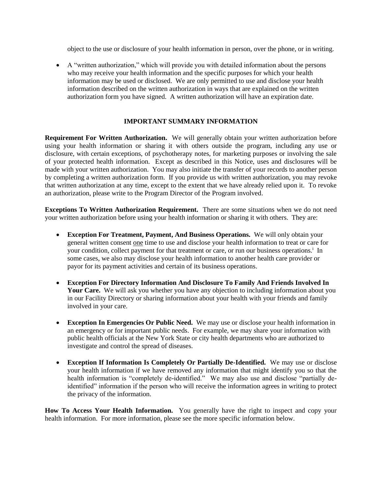object to the use or disclosure of your health information in person, over the phone, or in writing.

 A "written authorization," which will provide you with detailed information about the persons who may receive your health information and the specific purposes for which your health information may be used or disclosed. We are only permitted to use and disclose your health information described on the written authorization in ways that are explained on the written authorization form you have signed. A written authorization will have an expiration date.

#### **IMPORTANT SUMMARY INFORMATION**

**Requirement For Written Authorization.** We will generally obtain your written authorization before using your health information or sharing it with others outside the program, including any use or disclosure, with certain exceptions, of psychotherapy notes, for marketing purposes or involving the sale of your protected health information. Except as described in this Notice, uses and disclosures will be made with your written authorization. You may also initiate the transfer of your records to another person by completing a written authorization form. If you provide us with written authorization, you may revoke that written authorization at any time, except to the extent that we have already relied upon it. To revoke an authorization, please write to the Program Director of the Program involved.

**Exceptions To Written Authorization Requirement.** There are some situations when we do not need your written authorization before using your health information or sharing it with others. They are:

- **Exception For Treatment, Payment, And Business Operations.** We will only obtain your general written consent one time to use and disclose your health information to treat or care for your condition, collect payment for that treatment or care, or run our business operations.<sup>i</sup> In some cases, we also may disclose your health information to another health care provider or payor for its payment activities and certain of its business operations.
- **Exception For Directory Information And Disclosure To Family And Friends Involved In**  Your Care. We will ask you whether you have any objection to including information about you in our Facility Directory or sharing information about your health with your friends and family involved in your care.
- **Exception In Emergencies Or Public Need.** We may use or disclose your health information in an emergency or for important public needs. For example, we may share your information with public health officials at the New York State or city health departments who are authorized to investigate and control the spread of diseases.
- **Exception If Information Is Completely Or Partially De-Identified.** We may use or disclose your health information if we have removed any information that might identify you so that the health information is "completely de-identified." We may also use and disclose "partially deidentified" information if the person who will receive the information agrees in writing to protect the privacy of the information.

**How To Access Your Health Information.** You generally have the right to inspect and copy your health information. For more information, please see the more specific information below.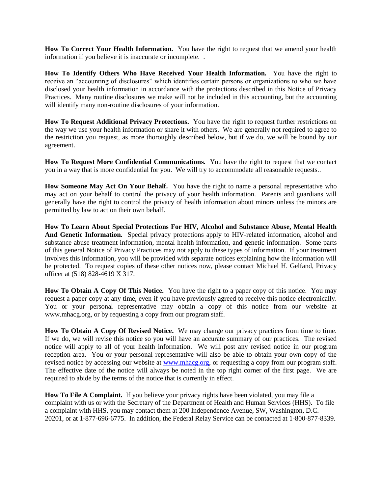**How To Correct Your Health Information.** You have the right to request that we amend your health information if you believe it is inaccurate or incomplete. .

**How To Identify Others Who Have Received Your Health Information.** You have the right to receive an "accounting of disclosures" which identifies certain persons or organizations to who we have disclosed your health information in accordance with the protections described in this Notice of Privacy Practices. Many routine disclosures we make will not be included in this accounting, but the accounting will identify many non-routine disclosures of your information.

**How To Request Additional Privacy Protections.** You have the right to request further restrictions on the way we use your health information or share it with others. We are generally not required to agree to the restriction you request, as more thoroughly described below, but if we do, we will be bound by our agreement.

**How To Request More Confidential Communications.** You have the right to request that we contact you in a way that is more confidential for you. We will try to accommodate all reasonable requests..

How Someone May Act On Your Behalf. You have the right to name a personal representative who may act on your behalf to control the privacy of your health information. Parents and guardians will generally have the right to control the privacy of health information about minors unless the minors are permitted by law to act on their own behalf.

**How To Learn About Special Protections For HIV, Alcohol and Substance Abuse, Mental Health And Genetic Information.** Special privacy protections apply to HIV-related information, alcohol and substance abuse treatment information, mental health information, and genetic information. Some parts of this general Notice of Privacy Practices may not apply to these types of information. If your treatment involves this information, you will be provided with separate notices explaining how the information will be protected. To request copies of these other notices now, please contact Michael H. Gelfand, Privacy officer at (518) 828-4619 X 317.

**How To Obtain A Copy Of This Notice.** You have the right to a paper copy of this notice. You may request a paper copy at any time, even if you have previously agreed to receive this notice electronically. You or your personal representative may obtain a copy of this notice from our website at www.mhacg.org, or by requesting a copy from our program staff.

**How To Obtain A Copy Of Revised Notice.** We may change our privacy practices from time to time. If we do, we will revise this notice so you will have an accurate summary of our practices. The revised notice will apply to all of your health information. We will post any revised notice in our program reception area. You or your personal representative will also be able to obtain your own copy of the revised notice by accessing our website at [www.mhacg.org,](http://www.mhacg.org/) or requesting a copy from our program staff. The effective date of the notice will always be noted in the top right corner of the first page. We are required to abide by the terms of the notice that is currently in effect.

**How To File A Complaint.** If you believe your privacy rights have been violated, you may file a complaint with us or with the Secretary of the Department of Health and Human Services (HHS). To file a complaint with HHS, you may contact them at 200 Independence Avenue, SW, Washington, D.C. 20201, or at 1-877-696-6775. In addition, the Federal Relay Service can be contacted at 1-800-877-8339.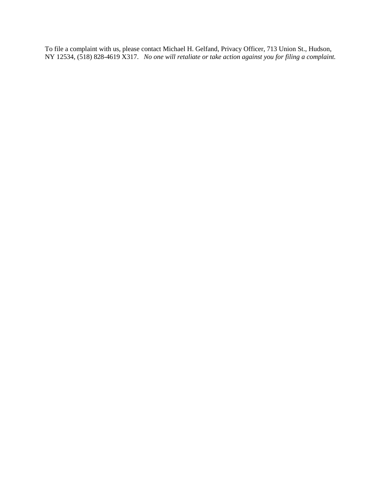To file a complaint with us, please contact Michael H. Gelfand, Privacy Officer, 713 Union St., Hudson, NY 12534, (518) 828-4619 X317. *No one will retaliate or take action against you for filing a complaint.*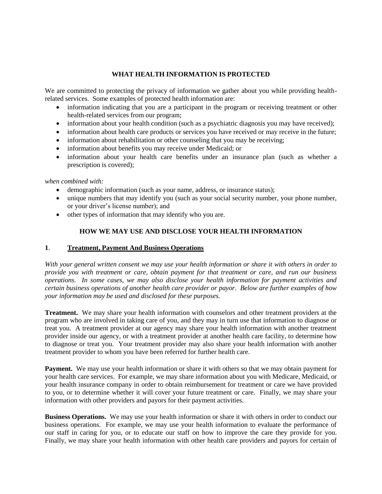#### **WHAT HEALTH INFORMATION IS PROTECTED**

We are committed to protecting the privacy of information we gather about you while providing healthrelated services. Some examples of protected health information are:

- information indicating that you are a participant in the program or receiving treatment or other health-related services from our program;
- information about your health condition (such as a psychiatric diagnosis you may have received);
- information about health care products or services you have received or may receive in the future;
- information about rehabilitation or other counseling that you may be receiving;
- information about benefits you may receive under Medicaid; or
- information about your health care benefits under an insurance plan (such as whether a prescription is covered);

#### *when combined with:*

- demographic information (such as your name, address, or insurance status);
- unique numbers that may identify you (such as your social security number, your phone number, or your driver's license number); and
- other types of information that may identify who you are.

#### **HOW WE MAY USE AND DISCLOSE YOUR HEALTH INFORMATION**

#### **1**. **Treatment, Payment And Business Operations**

*With your general written consent we may use your health information or share it with others in order to provide you with treatment or care, obtain payment for that treatment or care, and run our business operations. In some cases, we may also disclose your health information for payment activities and certain business operations of another health care provider or payor. Below are further examples of how your information may be used and disclosed for these purposes.*

**Treatment.** We may share your health information with counselors and other treatment providers at the program who are involved in taking care of you, and they may in turn use that information to diagnose or treat you. A treatment provider at our agency may share your health information with another treatment provider inside our agency, or with a treatment provider at another health care facility, to determine how to diagnose or treat you. Your treatment provider may also share your health information with another treatment provider to whom you have been referred for further health care.

**Payment.** We may use your health information or share it with others so that we may obtain payment for your health care services. For example, we may share information about you with Medicare, Medicaid, or your health insurance company in order to obtain reimbursement for treatment or care we have provided to you, or to determine whether it will cover your future treatment or care. Finally, we may share your information with other providers and payors for their payment activities.

**Business Operations.** We may use your health information or share it with others in order to conduct our business operations. For example, we may use your health information to evaluate the performance of our staff in caring for you, or to educate our staff on how to improve the care they provide for you. Finally, we may share your health information with other health care providers and payors for certain of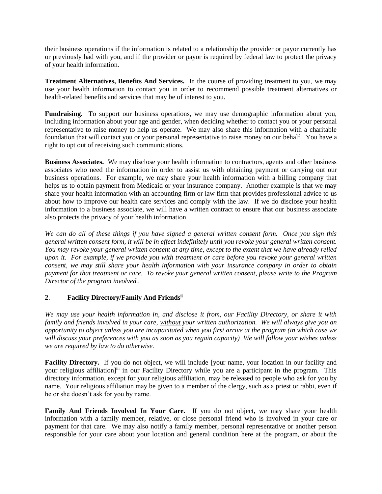their business operations if the information is related to a relationship the provider or payor currently has or previously had with you, and if the provider or payor is required by federal law to protect the privacy of your health information.

**Treatment Alternatives, Benefits And Services.** In the course of providing treatment to you, we may use your health information to contact you in order to recommend possible treatment alternatives or health-related benefits and services that may be of interest to you.

**Fundraising.** To support our business operations, we may use demographic information about you, including information about your age and gender, when deciding whether to contact you or your personal representative to raise money to help us operate. We may also share this information with a charitable foundation that will contact you or your personal representative to raise money on our behalf. You have a right to opt out of receiving such communications.

**Business Associates.** We may disclose your health information to contractors, agents and other business associates who need the information in order to assist us with obtaining payment or carrying out our business operations. For example, we may share your health information with a billing company that helps us to obtain payment from Medicaid or your insurance company. Another example is that we may share your health information with an accounting firm or law firm that provides professional advice to us about how to improve our health care services and comply with the law. If we do disclose your health information to a business associate, we will have a written contract to ensure that our business associate also protects the privacy of your health information.

*We can do all of these things if you have signed a general written consent form. Once you sign this general written consent form, it will be in effect indefinitely until you revoke your general written consent. You may revoke your general written consent at any time, except to the extent that we have already relied upon it. For example, if we provide you with treatment or care before you revoke your general written consent, we may still share your health information with your insurance company in order to obtain payment for that treatment or care. To revoke your general written consent, please write to the Program Director of the program involved..*

# **2**. **Facility Directory/Family And Friendsii**

*We may use your health information in, and disclose it from, our Facility Directory, or share it with family and friends involved in your care, without your written authorization. We will always give you an opportunity to object unless you are incapacitated when you first arrive at the program (in which case we will discuss your preferences with you as soon as you regain capacity) We will follow your wishes unless we are required by law to do otherwise.*

**Facility Directory.** If you do not object, we will include [your name, your location in our facility and your religious affiliation]<sup>iii</sup> in our Facility Directory while you are a participant in the program. This directory information, except for your religious affiliation, may be released to people who ask for you by name. Your religious affiliation may be given to a member of the clergy, such as a priest or rabbi, even if he or she doesn't ask for you by name.

**Family And Friends Involved In Your Care.** If you do not object, we may share your health information with a family member, relative, or close personal friend who is involved in your care or payment for that care. We may also notify a family member, personal representative or another person responsible for your care about your location and general condition here at the program, or about the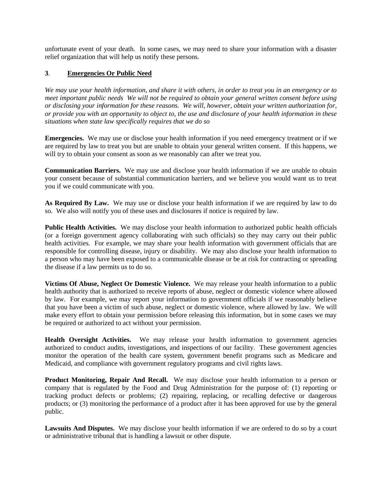unfortunate event of your death. In some cases, we may need to share your information with a disaster relief organization that will help us notify these persons.

# **3**. **Emergencies Or Public Need**

*We may use your health information, and share it with others, in order to treat you in an emergency or to meet important public needs We will not be required to obtain your general written consent before using or disclosing your information for these reasons. We will, however, obtain your written authorization for, or provide you with an opportunity to object to, the use and disclosure of your health information in these situations when state law specifically requires that we do so*

**Emergencies.** We may use or disclose your health information if you need emergency treatment or if we are required by law to treat you but are unable to obtain your general written consent. If this happens, we will try to obtain your consent as soon as we reasonably can after we treat you.

**Communication Barriers.** We may use and disclose your health information if we are unable to obtain your consent because of substantial communication barriers, and we believe you would want us to treat you if we could communicate with you.

As **Required By Law.** We may use or disclose your health information if we are required by law to do so. We also will notify you of these uses and disclosures if notice is required by law.

**Public Health Activities.** We may disclose your health information to authorized public health officials (or a foreign government agency collaborating with such officials) so they may carry out their public health activities. For example, we may share your health information with government officials that are responsible for controlling disease, injury or disability. We may also disclose your health information to a person who may have been exposed to a communicable disease or be at risk for contracting or spreading the disease if a law permits us to do so.

**Victims Of Abuse, Neglect Or Domestic Violence.** We may release your health information to a public health authority that is authorized to receive reports of abuse, neglect or domestic violence where allowed by law. For example, we may report your information to government officials if we reasonably believe that you have been a victim of such abuse, neglect or domestic violence, where allowed by law. We will make every effort to obtain your permission before releasing this information, but in some cases we may be required or authorized to act without your permission.

Health Oversight Activities. We may release your health information to government agencies authorized to conduct audits, investigations, and inspections of our facility. These government agencies monitor the operation of the health care system, government benefit programs such as Medicare and Medicaid, and compliance with government regulatory programs and civil rights laws.

**Product Monitoring, Repair And Recall.** We may disclose your health information to a person or company that is regulated by the Food and Drug Administration for the purpose of: (1) reporting or tracking product defects or problems; (2) repairing, replacing, or recalling defective or dangerous products; or (3) monitoring the performance of a product after it has been approved for use by the general public.

Lawsuits And Disputes. We may disclose your health information if we are ordered to do so by a court or administrative tribunal that is handling a lawsuit or other dispute.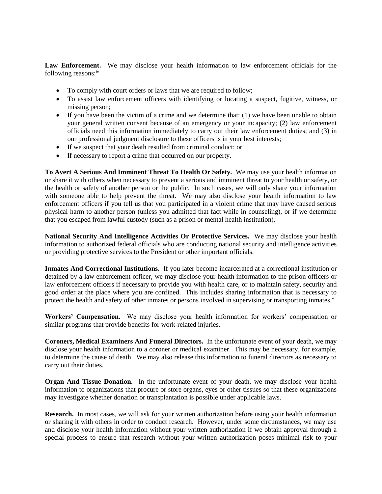**Law Enforcement.** We may disclose your health information to law enforcement officials for the following reasons:iv

- To comply with court orders or laws that we are required to follow;
- To assist law enforcement officers with identifying or locating a suspect, fugitive, witness, or missing person;
- If you have been the victim of a crime and we determine that: (1) we have been unable to obtain your general written consent because of an emergency or your incapacity; (2) law enforcement officials need this information immediately to carry out their law enforcement duties; and (3) in our professional judgment disclosure to these officers is in your best interests;
- If we suspect that your death resulted from criminal conduct; or
- If necessary to report a crime that occurred on our property.

**To Avert A Serious And Imminent Threat To Health Or Safety.** We may use your health information or share it with others when necessary to prevent a serious and imminent threat to your health or safety, or the health or safety of another person or the public. In such cases, we will only share your information with someone able to help prevent the threat. We may also disclose your health information to law enforcement officers if you tell us that you participated in a violent crime that may have caused serious physical harm to another person (unless you admitted that fact while in counseling), or if we determine that you escaped from lawful custody (such as a prison or mental health institution).

**National Security And Intelligence Activities Or Protective Services.** We may disclose your health information to authorized federal officials who are conducting national security and intelligence activities or providing protective services to the President or other important officials.

**Inmates And Correctional Institutions.** If you later become incarcerated at a correctional institution or detained by a law enforcement officer, we may disclose your health information to the prison officers or law enforcement officers if necessary to provide you with health care, or to maintain safety, security and good order at the place where you are confined. This includes sharing information that is necessary to protect the health and safety of other inmates or persons involved in supervising or transporting inmates.<sup>v</sup>

**Workers' Compensation.** We may disclose your health information for workers' compensation or similar programs that provide benefits for work-related injuries.

**Coroners, Medical Examiners And Funeral Directors.** In the unfortunate event of your death, we may disclose your health information to a coroner or medical examiner. This may be necessary, for example, to determine the cause of death. We may also release this information to funeral directors as necessary to carry out their duties.

**Organ And Tissue Donation.** In the unfortunate event of your death, we may disclose your health information to organizations that procure or store organs, eyes or other tissues so that these organizations may investigate whether donation or transplantation is possible under applicable laws.

**Research.** In most cases, we will ask for your written authorization before using your health information or sharing it with others in order to conduct research. However, under some circumstances, we may use and disclose your health information without your written authorization if we obtain approval through a special process to ensure that research without your written authorization poses minimal risk to your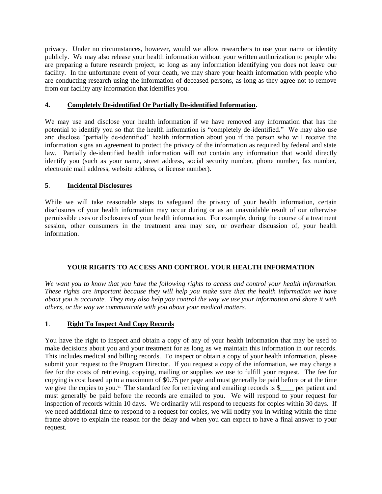privacy. Under no circumstances, however, would we allow researchers to use your name or identity publicly. We may also release your health information without your written authorization to people who are preparing a future research project, so long as any information identifying you does not leave our facility. In the unfortunate event of your death, we may share your health information with people who are conducting research using the information of deceased persons, as long as they agree not to remove from our facility any information that identifies you.

# **4. Completely De-identified Or Partially De-identified Information.**

We may use and disclose your health information if we have removed any information that has the potential to identify you so that the health information is "completely de-identified." We may also use and disclose "partially de-identified" health information about you if the person who will receive the information signs an agreement to protect the privacy of the information as required by federal and state law. Partially de-identified health information will *not* contain any information that would directly identify you (such as your name, street address, social security number, phone number, fax number, electronic mail address, website address, or license number).

# **5**. **Incidental Disclosures**

While we will take reasonable steps to safeguard the privacy of your health information, certain disclosures of your health information may occur during or as an unavoidable result of our otherwise permissible uses or disclosures of your health information. For example, during the course of a treatment session, other consumers in the treatment area may see, or overhear discussion of, your health information.

# **YOUR RIGHTS TO ACCESS AND CONTROL YOUR HEALTH INFORMATION**

*We want you to know that you have the following rights to access and control your health information. These rights are important because they will help you make sure that the health information we have about you is accurate. They may also help you control the way we use your information and share it with others, or the way we communicate with you about your medical matters.*

# **1**. **Right To Inspect And Copy Records**

You have the right to inspect and obtain a copy of any of your health information that may be used to make decisions about you and your treatment for as long as we maintain this information in our records. This includes medical and billing records. To inspect or obtain a copy of your health information, please submit your request to the Program Director. If you request a copy of the information, we may charge a fee for the costs of retrieving, copying, mailing or supplies we use to fulfill your request. The fee for copying is cost based up to a maximum of \$0.75 per page and must generally be paid before or at the time we give the copies to you.<sup>vi</sup> The standard fee for retrieving and emailing records is  $\frac{1}{2}$  per patient and must generally be paid before the records are emailed to you. We will respond to your request for inspection of records within 10 days. We ordinarily will respond to requests for copies within 30 days. If we need additional time to respond to a request for copies, we will notify you in writing within the time frame above to explain the reason for the delay and when you can expect to have a final answer to your request.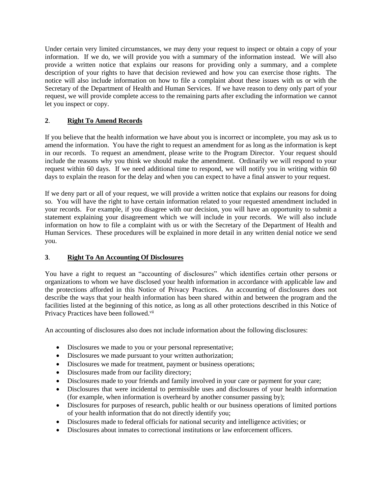Under certain very limited circumstances, we may deny your request to inspect or obtain a copy of your information. If we do, we will provide you with a summary of the information instead. We will also provide a written notice that explains our reasons for providing only a summary, and a complete description of your rights to have that decision reviewed and how you can exercise those rights. The notice will also include information on how to file a complaint about these issues with us or with the Secretary of the Department of Health and Human Services. If we have reason to deny only part of your request, we will provide complete access to the remaining parts after excluding the information we cannot let you inspect or copy.

# **2**. **Right To Amend Records**

If you believe that the health information we have about you is incorrect or incomplete, you may ask us to amend the information. You have the right to request an amendment for as long as the information is kept in our records. To request an amendment, please write to the Program Director. Your request should include the reasons why you think we should make the amendment. Ordinarily we will respond to your request within 60 days. If we need additional time to respond, we will notify you in writing within 60 days to explain the reason for the delay and when you can expect to have a final answer to your request.

If we deny part or all of your request, we will provide a written notice that explains our reasons for doing so. You will have the right to have certain information related to your requested amendment included in your records. For example, if you disagree with our decision, you will have an opportunity to submit a statement explaining your disagreement which we will include in your records. We will also include information on how to file a complaint with us or with the Secretary of the Department of Health and Human Services. These procedures will be explained in more detail in any written denial notice we send you.

# **3**. **Right To An Accounting Of Disclosures**

You have a right to request an "accounting of disclosures" which identifies certain other persons or organizations to whom we have disclosed your health information in accordance with applicable law and the protections afforded in this Notice of Privacy Practices. An accounting of disclosures does not describe the ways that your health information has been shared within and between the program and the facilities listed at the beginning of this notice, as long as all other protections described in this Notice of Privacy Practices have been followed.<sup>vii</sup>

An accounting of disclosures also does not include information about the following disclosures:

- Disclosures we made to you or your personal representative;
- Disclosures we made pursuant to your written authorization;
- Disclosures we made for treatment, payment or business operations;
- Disclosures made from our facility directory;
- Disclosures made to your friends and family involved in your care or payment for your care;
- Disclosures that were incidental to permissible uses and disclosures of your health information (for example, when information is overheard by another consumer passing by);
- Disclosures for purposes of research, public health or our business operations of limited portions of your health information that do not directly identify you;
- Disclosures made to federal officials for national security and intelligence activities; or
- Disclosures about inmates to correctional institutions or law enforcement officers.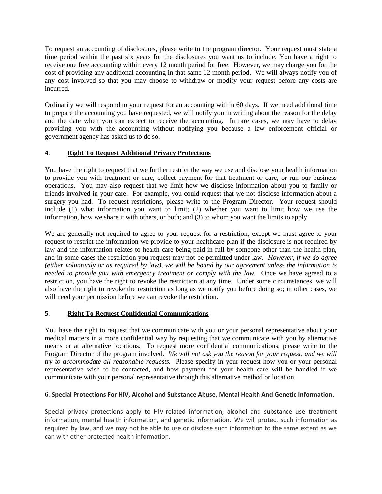To request an accounting of disclosures, please write to the program director. Your request must state a time period within the past six years for the disclosures you want us to include. You have a right to receive one free accounting within every 12 month period for free. However, we may charge you for the cost of providing any additional accounting in that same 12 month period. We will always notify you of any cost involved so that you may choose to withdraw or modify your request before any costs are incurred.

Ordinarily we will respond to your request for an accounting within 60 days. If we need additional time to prepare the accounting you have requested, we will notify you in writing about the reason for the delay and the date when you can expect to receive the accounting. In rare cases, we may have to delay providing you with the accounting without notifying you because a law enforcement official or government agency has asked us to do so.

# **4**. **Right To Request Additional Privacy Protections**

You have the right to request that we further restrict the way we use and disclose your health information to provide you with treatment or care, collect payment for that treatment or care, or run our business operations. You may also request that we limit how we disclose information about you to family or friends involved in your care. For example, you could request that we not disclose information about a surgery you had. To request restrictions, please write to the Program Director. Your request should include (1) what information you want to limit; (2) whether you want to limit how we use the information, how we share it with others, or both; and (3) to whom you want the limits to apply.

We are generally not required to agree to your request for a restriction, except we must agree to your request to restrict the information we provide to your healthcare plan if the disclosure is not required by law and the information relates to health care being paid in full by someone other than the health plan, and in some cases the restriction you request may not be permitted under law. *However, if we do agree (either voluntarily or as required by law), we will be bound by our agreement unless the information is needed to provide you with emergency treatment or comply with the law.* Once we have agreed to a restriction, you have the right to revoke the restriction at any time. Under some circumstances, we will also have the right to revoke the restriction as long as we notify you before doing so; in other cases, we will need your permission before we can revoke the restriction.

# **5**. **Right To Request Confidential Communications**

You have the right to request that we communicate with you or your personal representative about your medical matters in a more confidential way by requesting that we communicate with you by alternative means or at alternative locations. To request more confidential communications, please write to the Program Director of the program involved. *We will not ask you the reason for your request, and we will try to accommodate all reasonable requests.* Please specify in your request how you or your personal representative wish to be contacted, and how payment for your health care will be handled if we communicate with your personal representative through this alternative method or location.

# 6. **Special Protections For HIV, Alcohol and Substance Abuse, Mental Health And Genetic Information.**

Special privacy protections apply to HIV-related information, alcohol and substance use treatment information, mental health information, and genetic information. We will protect such information as required by law, and we may not be able to use or disclose such information to the same extent as we can with other protected health information.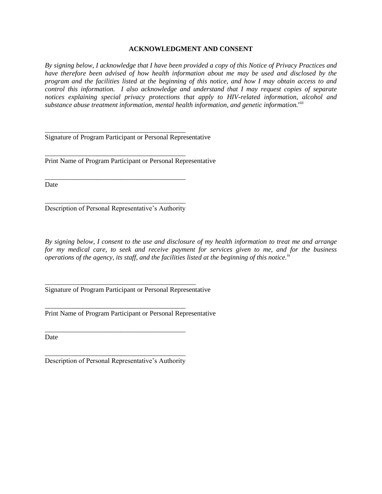#### **ACKNOWLEDGMENT AND CONSENT**

*By signing below, I acknowledge that I have been provided a copy of this Notice of Privacy Practices and have therefore been advised of how health information about me may be used and disclosed by the program and the facilities listed at the beginning of this notice, and how I may obtain access to and control this information. I also acknowledge and understand that I may request copies of separate notices explaining special privacy protections that apply to HIV-related information, alcohol and substance abuse treatment information, mental health information, and genetic information.viii*

\_\_\_\_\_\_\_\_\_\_\_\_\_\_\_\_\_\_\_\_\_\_\_\_\_\_\_\_\_\_\_\_\_\_\_\_\_\_\_\_\_ Signature of Program Participant or Personal Representative

Print Name of Program Participant or Personal Representative

Date

\_\_\_\_\_\_\_\_\_\_\_\_\_\_\_\_\_\_\_\_\_\_\_\_\_\_\_\_\_\_\_\_\_\_\_\_\_\_\_\_\_ Description of Personal Representative's Authority

\_\_\_\_\_\_\_\_\_\_\_\_\_\_\_\_\_\_\_\_\_\_\_\_\_\_\_\_\_\_\_\_\_\_\_\_\_\_\_\_\_

\_\_\_\_\_\_\_\_\_\_\_\_\_\_\_\_\_\_\_\_\_\_\_\_\_\_\_\_\_\_\_\_\_\_\_\_\_\_\_\_\_

*By signing below, I consent to the use and disclosure of my health information to treat me and arrange for my medical care, to seek and receive payment for services given to me, and for the business operations of the agency, its staff, and the facilities listed at the beginning of this notice.ix*

Signature of Program Participant or Personal Representative

\_\_\_\_\_\_\_\_\_\_\_\_\_\_\_\_\_\_\_\_\_\_\_\_\_\_\_\_\_\_\_\_\_\_\_\_\_\_\_\_\_\_\_\_

\_\_\_\_\_\_\_\_\_\_\_\_\_\_\_\_\_\_\_\_\_\_\_\_\_\_\_\_\_\_\_\_\_\_\_\_\_\_\_\_\_

\_\_\_\_\_\_\_\_\_\_\_\_\_\_\_\_\_\_\_\_\_\_\_\_\_\_\_\_\_\_\_\_\_\_\_\_\_\_\_\_\_

Print Name of Program Participant or Personal Representative

Date

\_\_\_\_\_\_\_\_\_\_\_\_\_\_\_\_\_\_\_\_\_\_\_\_\_\_\_\_\_\_\_\_\_\_\_\_\_\_\_\_\_ Description of Personal Representative's Authority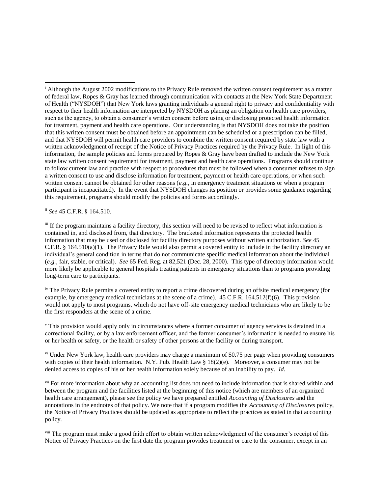ii *See* 45 C.F.R. § 164.510.

 $\overline{a}$ 

iii If the program maintains a facility directory, this section will need to be revised to reflect what information is contained in, and disclosed from, that directory. The bracketed information represents the protected health information that may be used or disclosed for facility directory purposes without written authorization. *See* 45 C.F.R. § 164.510(a)(1). The Privacy Rule would also permit a covered entity to include in the facility directory an individual's general condition in terms that do not communicate specific medical information about the individual (*e.g.*, fair, stable, or critical). *See* 65 Fed. Reg. at 82,521 (Dec. 28, 2000). This type of directory information would more likely be applicable to general hospitals treating patients in emergency situations than to programs providing long-term care to participants.

iv The Privacy Rule permits a covered entity to report a crime discovered during an offsite medical emergency (for example, by emergency medical technicians at the scene of a crime). 45 C.F.R. 164.512(f)(6). This provision would not apply to most programs, which do not have off-site emergency medical technicians who are likely to be the first responders at the scene of a crime.

<sup>v</sup> This provision would apply only in circumstances where a former consumer of agency services is detained in a correctional facility, or by a law enforcement officer, and the former consumer's information is needed to ensure his or her health or safety, or the health or safety of other persons at the facility or during transport.

vi Under New York law, health care providers may charge a maximum of \$0.75 per page when providing consumers with copies of their health information. N.Y. Pub. Health Law § 18(2)(e). Moreover, a consumer may not be denied access to copies of his or her health information solely because of an inability to pay. *Id.*

<sup>vii</sup> For more information about why an accounting list does not need to include information that is shared within and between the program and the facilities listed at the beginning of this notice (which are members of an organized health care arrangement), please see the policy we have prepared entitled *Accounting of Disclosures* and the annotations in the endnotes of that policy. We note that if a program modifies the *Accounting of Disclosures* policy, the Notice of Privacy Practices should be updated as appropriate to reflect the practices as stated in that accounting policy.

viii The program must make a good faith effort to obtain written acknowledgment of the consumer's receipt of this Notice of Privacy Practices on the first date the program provides treatment or care to the consumer, except in an

<sup>&</sup>lt;sup>i</sup> Although the August 2002 modifications to the Privacy Rule removed the written consent requirement as a matter of federal law, Ropes & Gray has learned through communication with contacts at the New York State Department of Health ("NYSDOH") that New York laws granting individuals a general right to privacy and confidentiality with respect to their health information are interpreted by NYSDOH as placing an obligation on health care providers, such as the agency, to obtain a consumer's written consent before using or disclosing protected health information for treatment, payment and health care operations. Our understanding is that NYSDOH does not take the position that this written consent must be obtained before an appointment can be scheduled or a prescription can be filled, and that NYSDOH will permit health care providers to combine the written consent required by state law with a written acknowledgment of receipt of the Notice of Privacy Practices required by the Privacy Rule. In light of this information, the sample policies and forms prepared by Ropes & Gray have been drafted to include the New York state law written consent requirement for treatment, payment and health care operations. Programs should continue to follow current law and practice with respect to procedures that must be followed when a consumer refuses to sign a written consent to use and disclose information for treatment, payment or health care operations, or when such written consent cannot be obtained for other reasons (*e.g.*, in emergency treatment situations or when a program participant is incapacitated). In the event that NYSDOH changes its position or provides some guidance regarding this requirement, programs should modify the policies and forms accordingly.